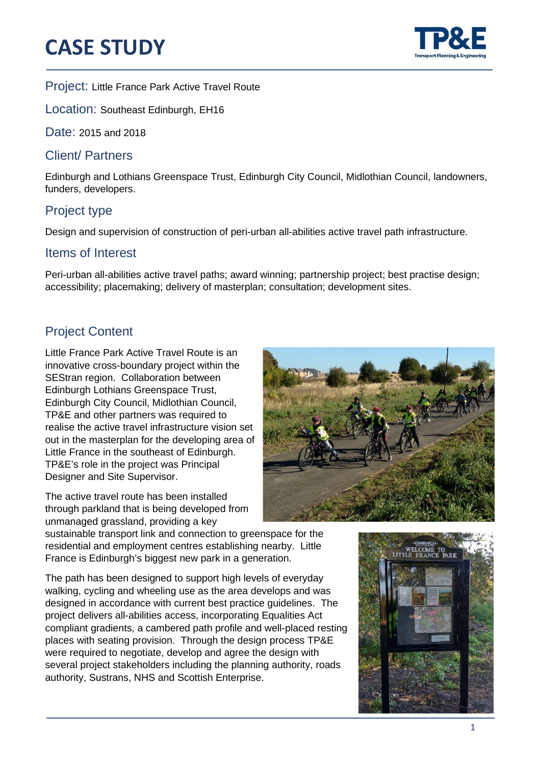# **CASE STUDY**



֦

Project: Little France Park Active Travel Route

Location: Southeast Edinburgh, EH16

Date: 2015 and 2018

### Client/ Partners

Edinburgh and Lothians Greenspace Trust, Edinburgh City Council, Midlothian Council, landowners, funders, developers.

## Project type

Design and supervision of construction of peri-urban all-abilities active travel path infrastructure.

#### Items of Interest

Peri-urban all-abilities active travel paths; award winning; partnership project; best practise design; accessibility; placemaking; delivery of masterplan; consultation; development sites.

# Project Content

Little France Park Active Travel Route is an innovative cross-boundary project within the SEStran region. Collaboration between Edinburgh Lothians Greenspace Trust, Edinburgh City Council, Midlothian Council, TP&E and other partners was required to realise the active travel infrastructure vision set out in the masterplan for the developing area of Little France in the southeast of Edinburgh. TP&E's role in the project was Principal Designer and Site Supervisor.

The active travel route has been installed through parkland that is being developed from unmanaged grassland, providing a key

sustainable transport link and connection to greenspace for the residential and employment centres establishing nearby. Little France is Edinburgh's biggest new park in a generation.

The path has been designed to support high levels of everyday walking, cycling and wheeling use as the area develops and was designed in accordance with current best practice guidelines. The project delivers all-abilities access, incorporating Equalities Act compliant gradients, a cambered path profile and well-placed resting places with seating provision. Through the design process TP&E were required to negotiate, develop and agree the design with several project stakeholders including the planning authority, roads authority, Sustrans, NHS and Scottish Enterprise.